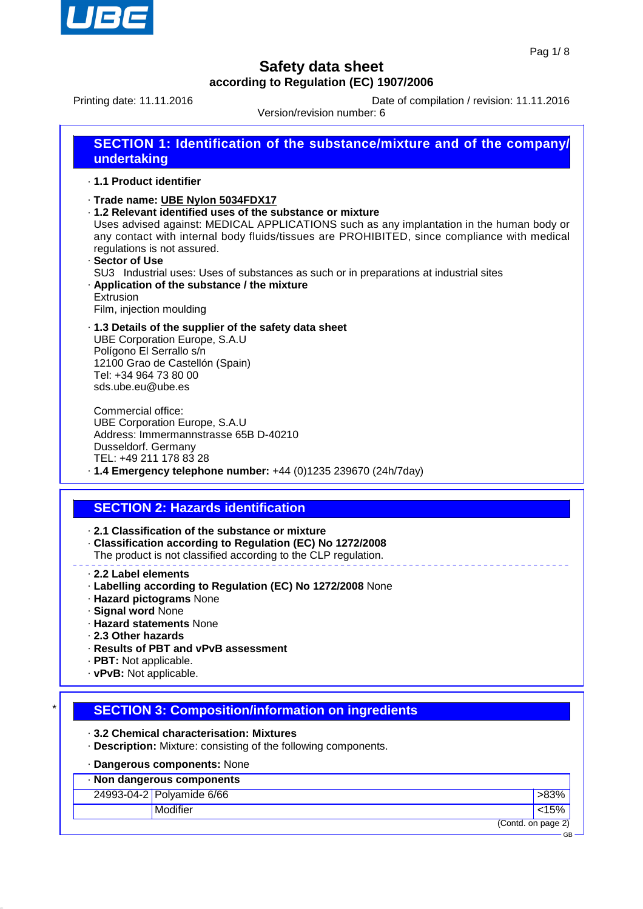

GB

## **Safety data sheet according to Regulation (EC) 1907/2006**

Printing date: 11.11.2016 **Date of compilation / revision: 11.11.2016** 

Version/revision number: 6

| <b>SECTION 1: Identification of the substance/mixture and of the company/</b><br>undertaking |
|----------------------------------------------------------------------------------------------|
| 1.1 Product identifier                                                                       |
| · Trade name: UBE Nylon 5034FDX17                                                            |
| .1.2 Relevant identified uses of the substance or mixture                                    |
| Uses advised against: MEDICAL APPLICATIONS such as any implantation in the human body or     |

Uses advised against: MEDICAL APPLICATIONS such as any implantation in the human body or any contact with internal body fluids/tissues are PROHIBITED, since compliance with medical regulations is not assured.

· **Sector of Use** SU3 Industrial uses: Uses of substances as such or in preparations at industrial sites · **Application of the substance / the mixture** Extrusion

Film, injection moulding

· **1.3 Details of the supplier of the safety data sheet** UBE Corporation Europe, S.A.U Polígono El Serrallo s/n 12100 Grao de Castellón (Spain) Tel: +34 964 73 80 00 sds.ube.eu@ube.es

Commercial office: UBE Corporation Europe, S.A.U Address: Immermannstrasse 65B D-40210 Dusseldorf. Germany TEL: +49 211 178 83 28

## · **1.4 Emergency telephone number:** +44 (0)1235 239670 (24h/7day)

## **SECTION 2: Hazards identification**

· **2.1 Classification of the substance or mixture**

- · **Classification according to Regulation (EC) No 1272/2008**
- The product is not classified according to the CLP regulation.
- · **2.2 Label elements**
- · **Labelling according to Regulation (EC) No 1272/2008** None
- · **Hazard pictograms** None
- · **Signal word** None
- · **Hazard statements** None
- · **2.3 Other hazards**
- · **Results of PBT and vPvB assessment**
- · **PBT:** Not applicable.
- · **vPvB:** Not applicable.

### **SECTION 3: Composition/information on ingredients**

· **3.2 Chemical characterisation: Mixtures**

· **Description:** Mixture: consisting of the following components.

### · **Dangerous components:** None

| · Non dangerous components |                           |                    |  |
|----------------------------|---------------------------|--------------------|--|
|                            | 24993-04-2 Polyamide 6/66 | >83%               |  |
|                            | Modifier                  | < 15%              |  |
|                            |                           | (Contd. on page 2) |  |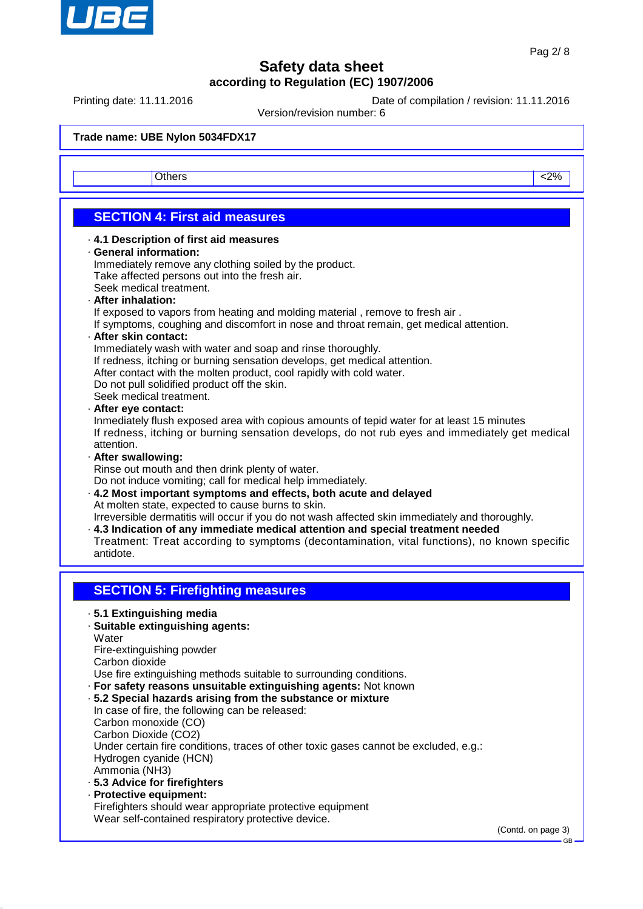

Printing date: 11.11.2016 **Date of compilation / revision: 11.11.2016** 

Version/revision number: 6

Others <2%

## **SECTION 4: First aid measures**

#### · **4.1 Description of first aid measures**

#### · **General information:**

Immediately remove any clothing soiled by the product. Take affected persons out into the fresh air. Seek medical treatment.

· **After inhalation:**

If exposed to vapors from heating and molding material , remove to fresh air .

If symptoms, coughing and discomfort in nose and throat remain, get medical attention.

#### · **After skin contact:**

Immediately wash with water and soap and rinse thoroughly.

If redness, itching or burning sensation develops, get medical attention.

After contact with the molten product, cool rapidly with cold water.

Do not pull solidified product off the skin.

Seek medical treatment.

#### · **After eye contact:**

Inmediately flush exposed area with copious amounts of tepid water for at least 15 minutes If redness, itching or burning sensation develops, do not rub eyes and immediately get medical attention.

· **After swallowing:**

Rinse out mouth and then drink plenty of water.

Do not induce vomiting; call for medical help immediately.

· **4.2 Most important symptoms and effects, both acute and delayed** At molten state, expected to cause burns to skin.

Irreversible dermatitis will occur if you do not wash affected skin immediately and thoroughly.

· **4.3 Indication of any immediate medical attention and special treatment needed** Treatment: Treat according to symptoms (decontamination, vital functions), no known specific antidote.

## **SECTION 5: Firefighting measures**

· **5.1 Extinguishing media**

### · **Suitable extinguishing agents:**

**Water** 

Fire-extinguishing powder

Carbon dioxide

Use fire extinguishing methods suitable to surrounding conditions.

- · **For safety reasons unsuitable extinguishing agents:** Not known
- · **5.2 Special hazards arising from the substance or mixture**

In case of fire, the following can be released: Carbon monoxide (CO) Carbon Dioxide (CO2) Under certain fire conditions, traces of other toxic gases cannot be excluded, e.g.: Hydrogen cyanide (HCN) Ammonia (NH3)

- · **5.3 Advice for firefighters**
- · **Protective equipment:** Firefighters should wear appropriate protective equipment Wear self-contained respiratory protective device.

(Contd. on page 3)

GB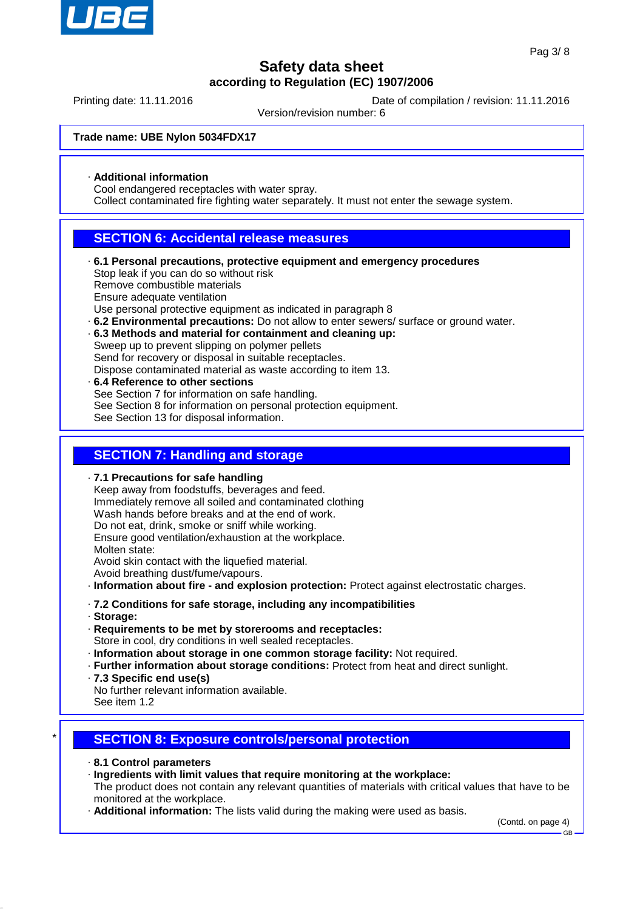

Printing date: 11.11.2016 **Date of compilation / revision: 11.11.2016** 

Version/revision number: 6

### **Trade name: UBE Nylon 5034FDX17**

### · **Additional information**

Cool endangered receptacles with water spray.

Collect contaminated fire fighting water separately. It must not enter the sewage system.

### **SECTION 6: Accidental release measures**

- · **6.1 Personal precautions, protective equipment and emergency procedures** Stop leak if you can do so without risk Remove combustible materials Ensure adequate ventilation Use personal protective equipment as indicated in paragraph 8
- · **6.2 Environmental precautions:** Do not allow to enter sewers/ surface or ground water.
- · **6.3 Methods and material for containment and cleaning up:** Sweep up to prevent slipping on polymer pellets Send for recovery or disposal in suitable receptacles.
- Dispose contaminated material as waste according to item 13. · **6.4 Reference to other sections** See Section 7 for information on safe handling. See Section 8 for information on personal protection equipment.
	- See Section 13 for disposal information.

### **SECTION 7: Handling and storage**

· **7.1 Precautions for safe handling**

Keep away from foodstuffs, beverages and feed. Immediately remove all soiled and contaminated clothing Wash hands before breaks and at the end of work. Do not eat, drink, smoke or sniff while working. Ensure good ventilation/exhaustion at the workplace. Molten state: Avoid skin contact with the liquefied material. Avoid breathing dust/fume/vapours. · **Information about fire - and explosion protection:** Protect against electrostatic charges. · **7.2 Conditions for safe storage, including any incompatibilities**

- · **Storage:**
- · **Requirements to be met by storerooms and receptacles:** Store in cool, dry conditions in well sealed receptacles.
- · **Information about storage in one common storage facility:** Not required.
- · **Further information about storage conditions:** Protect from heat and direct sunlight.
- · **7.3 Specific end use(s)**
- No further relevant information available.
- See item 1.2

## **SECTION 8: Exposure controls/personal protection**

- · **8.1 Control parameters**
- · **Ingredients with limit values that require monitoring at the workplace:**

The product does not contain any relevant quantities of materials with critical values that have to be monitored at the workplace.

· **Additional information:** The lists valid during the making were used as basis.

(Contd. on page 4)

GB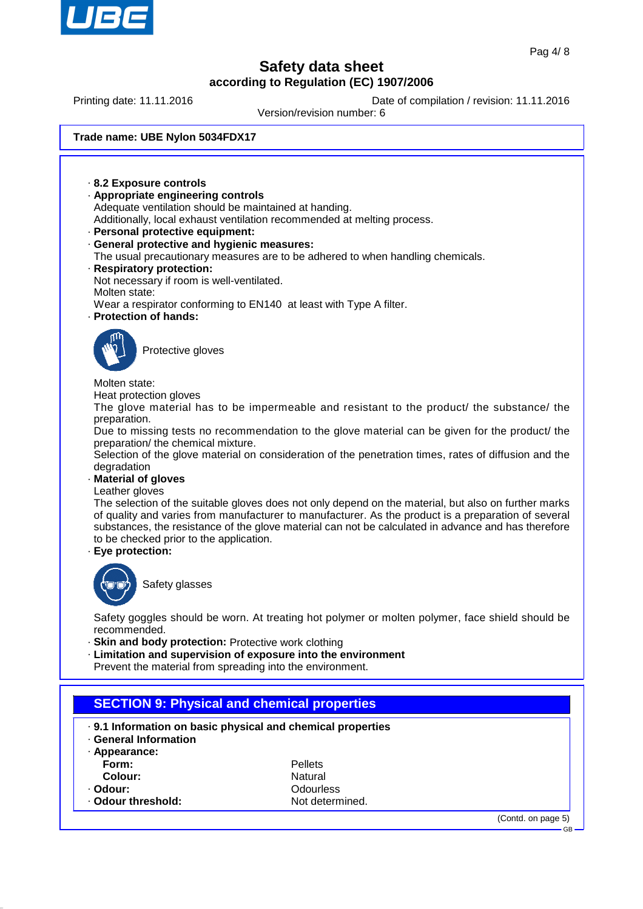

Printing date: 11.11.2016 **Date of compilation / revision: 11.11.2016** 

Version/revision number: 6

#### **Trade name: UBE Nylon 5034FDX17**

· **8.2 Exposure controls** · **Appropriate engineering controls** Adequate ventilation should be maintained at handing. Additionally, local exhaust ventilation recommended at melting process. · **Personal protective equipment:** · **General protective and hygienic measures:** The usual precautionary measures are to be adhered to when handling chemicals. · **Respiratory protection:** Not necessary if room is well-ventilated. Molten state: Wear a respirator conforming to EN140 at least with Type A filter. · **Protection of hands:** Protective gloves Molten state: Heat protection gloves The glove material has to be impermeable and resistant to the product/ the substance/ the preparation. Due to missing tests no recommendation to the glove material can be given for the product/ the preparation/ the chemical mixture. Selection of the glove material on consideration of the penetration times, rates of diffusion and the degradation · **Material of gloves** Leather gloves The selection of the suitable gloves does not only depend on the material, but also on further marks of quality and varies from manufacturer to manufacturer. As the product is a preparation of several substances, the resistance of the glove material can not be calculated in advance and has therefore to be checked prior to the application. · **Eye protection:** Safety glasses Safety goggles should be worn. At treating hot polymer or molten polymer, face shield should be recommended. · **Skin and body protection:** Protective work clothing · **Limitation and supervision of exposure into the environment** Prevent the material from spreading into the environment. **SECTION 9: Physical and chemical properties** · **9.1 Information on basic physical and chemical properties** · **General Information** · **Appearance: Form:** Pellets **Colour:** Natural · **Odour:** Odourless **Odour threshold:** (Contd. on page 5) GB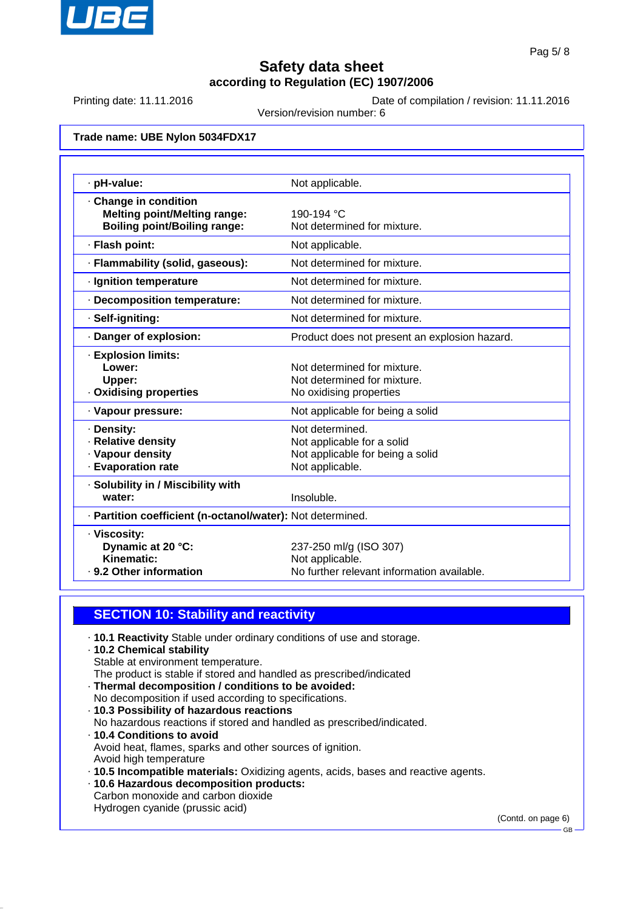

Printing date: 11.11.2016 **Date of compilation / revision: 11.11.2016** 

Version/revision number: 6

#### **Trade name: UBE Nylon 5034FDX17**

| · pH-value:                                                | Not applicable.                               |  |  |
|------------------------------------------------------------|-----------------------------------------------|--|--|
| Change in condition                                        |                                               |  |  |
| <b>Melting point/Melting range:</b>                        | 190-194 °C                                    |  |  |
| <b>Boiling point/Boiling range:</b>                        | Not determined for mixture.                   |  |  |
| · Flash point:                                             | Not applicable.                               |  |  |
| · Flammability (solid, gaseous):                           | Not determined for mixture.                   |  |  |
| · Ignition temperature                                     | Not determined for mixture.                   |  |  |
| · Decomposition temperature:                               | Not determined for mixture.                   |  |  |
| · Self-igniting:                                           | Not determined for mixture.                   |  |  |
| · Danger of explosion:                                     | Product does not present an explosion hazard. |  |  |
| · Explosion limits:                                        |                                               |  |  |
| Lower:                                                     | Not determined for mixture.                   |  |  |
| Upper:                                                     | Not determined for mixture.                   |  |  |
| · Oxidising properties                                     | No oxidising properties                       |  |  |
| · Vapour pressure:                                         | Not applicable for being a solid              |  |  |
| · Density:                                                 | Not determined.                               |  |  |
| · Relative density                                         | Not applicable for a solid                    |  |  |
| · Vapour density                                           | Not applicable for being a solid              |  |  |
| · Evaporation rate                                         | Not applicable.                               |  |  |
| · Solubility in / Miscibility with                         |                                               |  |  |
| water:                                                     | Insoluble.                                    |  |  |
| · Partition coefficient (n-octanol/water): Not determined. |                                               |  |  |
| · Viscosity:                                               |                                               |  |  |
| Dynamic at 20 °C:                                          | 237-250 ml/g (ISO 307)                        |  |  |
| Kinematic:                                                 | Not applicable.                               |  |  |
| . 9.2 Other information                                    | No further relevant information available.    |  |  |

### **SECTION 10: Stability and reactivity**

· **10.1 Reactivity** Stable under ordinary conditions of use and storage.

## · **10.2 Chemical stability**

Stable at environment temperature.

The product is stable if stored and handled as prescribed/indicated

- · **Thermal decomposition / conditions to be avoided:** No decomposition if used according to specifications.
- · **10.3 Possibility of hazardous reactions**
- No hazardous reactions if stored and handled as prescribed/indicated.
- · **10.4 Conditions to avoid** Avoid heat, flames, sparks and other sources of ignition. Avoid high temperature
- · **10.5 Incompatible materials:** Oxidizing agents, acids, bases and reactive agents.
- · **10.6 Hazardous decomposition products:**
- Carbon monoxide and carbon dioxide Hydrogen cyanide (prussic acid)

(Contd. on page 6)

GB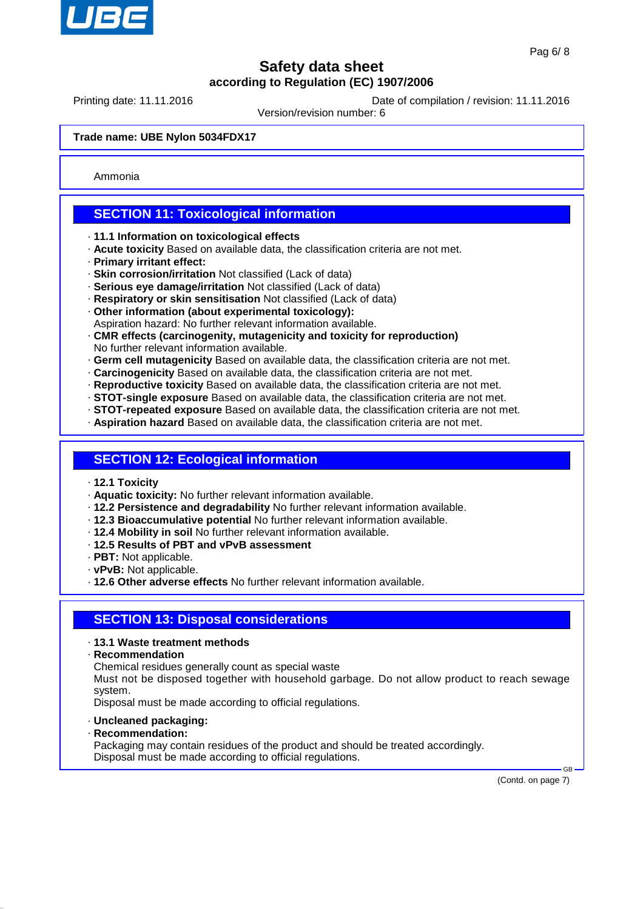

Printing date: 11.11.2016 **Date of compilation / revision: 11.11.2016** 

Version/revision number: 6

#### **Trade name: UBE Nylon 5034FDX17**

Ammonia

## **SECTION 11: Toxicological information**

- · **11.1 Information on toxicological effects**
- · **Acute toxicity** Based on available data, the classification criteria are not met.
- · **Primary irritant effect:**
- · **Skin corrosion/irritation** Not classified (Lack of data)
- · **Serious eye damage/irritation** Not classified (Lack of data)
- · **Respiratory or skin sensitisation** Not classified (Lack of data)
- · **Other information (about experimental toxicology):** Aspiration hazard: No further relevant information available.
- · **CMR effects (carcinogenity, mutagenicity and toxicity for reproduction)** No further relevant information available.
- · **Germ cell mutagenicity** Based on available data, the classification criteria are not met.
- · **Carcinogenicity** Based on available data, the classification criteria are not met.
- · **Reproductive toxicity** Based on available data, the classification criteria are not met.
- · **STOT-single exposure** Based on available data, the classification criteria are not met.
- · **STOT-repeated exposure** Based on available data, the classification criteria are not met.
- · **Aspiration hazard** Based on available data, the classification criteria are not met.

## **SECTION 12: Ecological information**

- · **12.1 Toxicity**
- · **Aquatic toxicity:** No further relevant information available.
- · **12.2 Persistence and degradability** No further relevant information available.
- · **12.3 Bioaccumulative potential** No further relevant information available.
- · **12.4 Mobility in soil** No further relevant information available.
- · **12.5 Results of PBT and vPvB assessment**
- · **PBT:** Not applicable.
- · **vPvB:** Not applicable.
- · **12.6 Other adverse effects** No further relevant information available.

### **SECTION 13: Disposal considerations**

#### · **13.1 Waste treatment methods**

· **Recommendation**

Chemical residues generally count as special waste

Must not be disposed together with household garbage. Do not allow product to reach sewage system.

Disposal must be made according to official regulations.

- · **Uncleaned packaging:**
- · **Recommendation:**

Packaging may contain residues of the product and should be treated accordingly. Disposal must be made according to official regulations.

(Contd. on page 7)

GB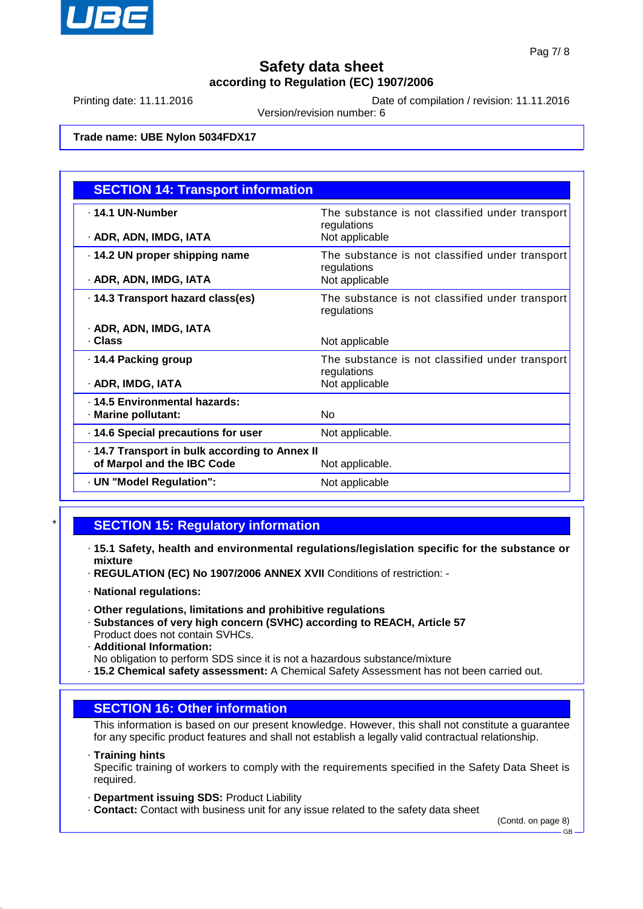

Printing date: 11.11.2016 **Date of compilation / revision: 11.11.2016** 

Version/revision number: 6

### **Trade name: UBE Nylon 5034FDX17**

| <b>SECTION 14: Transport information</b>      |                                                                |  |
|-----------------------------------------------|----------------------------------------------------------------|--|
| . 14.1 UN-Number                              | The substance is not classified under transport<br>regulations |  |
| · ADR, ADN, IMDG, IATA                        | Not applicable                                                 |  |
| 14.2 UN proper shipping name                  | The substance is not classified under transport<br>regulations |  |
| · ADR, ADN, IMDG, IATA                        | Not applicable                                                 |  |
| . 14.3 Transport hazard class(es)             | The substance is not classified under transport<br>regulations |  |
| · ADR, ADN, IMDG, IATA                        |                                                                |  |
| . Class                                       | Not applicable                                                 |  |
| ⋅ 14.4 Packing group                          | The substance is not classified under transport<br>regulations |  |
| · ADR, IMDG, IATA                             | Not applicable                                                 |  |
| . 14.5 Environmental hazards:                 |                                                                |  |
| · Marine pollutant:                           | No                                                             |  |
| 14.6 Special precautions for user             | Not applicable.                                                |  |
| -14.7 Transport in bulk according to Annex II |                                                                |  |
| of Marpol and the IBC Code                    | Not applicable.                                                |  |
| · UN "Model Regulation":                      | Not applicable                                                 |  |

## **SECTION 15: Regulatory information**

- · **15.1 Safety, health and environmental regulations/legislation specific for the substance or mixture**
- · **REGULATION (EC) No 1907/2006 ANNEX XVII** Conditions of restriction: -
- · **National regulations:**
- · **Other regulations, limitations and prohibitive regulations**
- · **Substances of very high concern (SVHC) according to REACH, Article 57** Product does not contain SVHCs.
- · **Additional Information:**
- No obligation to perform SDS since it is not a hazardous substance/mixture
- · **15.2 Chemical safety assessment:** A Chemical Safety Assessment has not been carried out.

### **SECTION 16: Other information**

This information is based on our present knowledge. However, this shall not constitute a guarantee for any specific product features and shall not establish a legally valid contractual relationship.

· **Training hints**

Specific training of workers to comply with the requirements specified in the Safety Data Sheet is required.

- · **Department issuing SDS:** Product Liability
- · **Contact:** Contact with business unit for any issue related to the safety data sheet

(Contd. on page 8)

GB